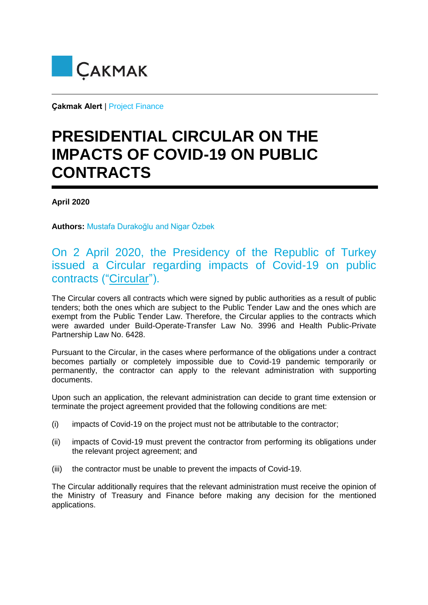

**Çakmak Alert** | Project Finance

## **PRESIDENTIAL CIRCULAR ON THE IMPACTS OF COVID-19 ON PUBLIC CONTRACTS**

**April 2020**

**Authors:** Mustafa Durakoğlu and Nigar Özbek

## On 2 April 2020, the Presidency of the Republic of Turkey issued a Circular regarding impacts of Covid-19 on public contracts ("Circular").

The Circular covers all contracts which were signed by public authorities as a result of public tenders; both the ones which are subject to the Public Tender Law and the ones which are exempt from the Public Tender Law. Therefore, the Circular applies to the contracts which were awarded under Build-Operate-Transfer Law No. 3996 and Health Public-Private Partnership Law No. 6428.

Pursuant to the Circular, in the cases where performance of the obligations under a contract becomes partially or completely impossible due to Covid-19 pandemic temporarily or permanently, the contractor can apply to the relevant administration with supporting documents.

Upon such an application, the relevant administration can decide to grant time extension or terminate the project agreement provided that the following conditions are met:

- (i) impacts of Covid-19 on the project must not be attributable to the contractor;
- (ii) impacts of Covid-19 must prevent the contractor from performing its obligations under the relevant project agreement; and
- (iii) the contractor must be unable to prevent the impacts of Covid-19.

The Circular additionally requires that the relevant administration must receive the opinion of the Ministry of Treasury and Finance before making any decision for the mentioned applications.